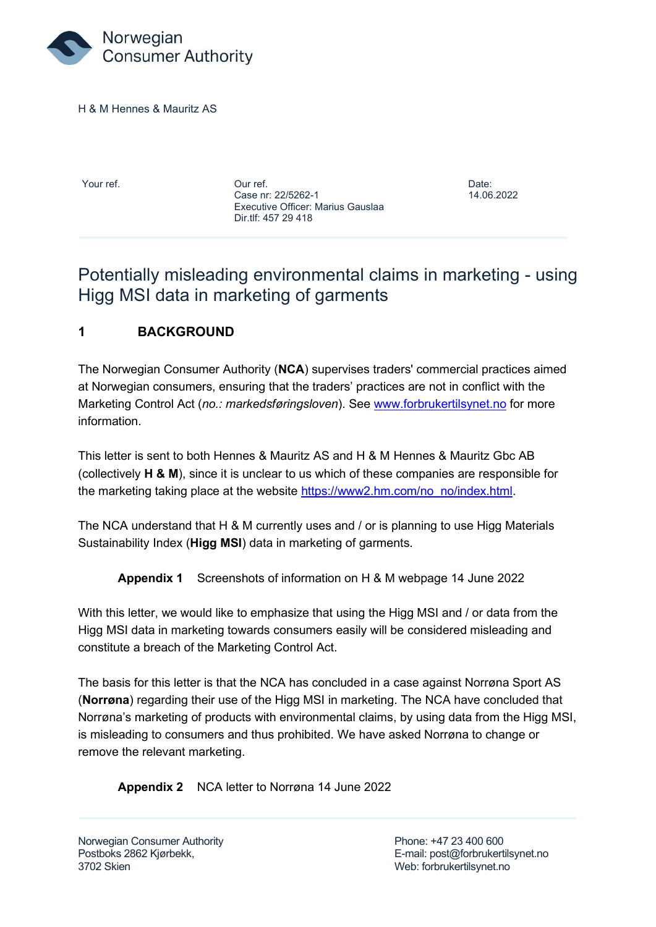

H & M Hennes & Mauritz AS

Your ref. Our ref. Date: Case nr: 22/5262-1 14.06.2022 Executive Officer: Marius Gauslaa Dir.tlf: 457 29 418

## Potentially misleading environmental claims in marketing - using Higg MSI data in marketing of garments

## **1 BACKGROUND**

The Norwegian Consumer Authority (**NCA**) supervises traders' commercial practices aimed at Norwegian consumers, ensuring that the traders' practices are not in conflict with the Marketing Control Act (*no.: markedsføringsloven*). See [www.forbrukertilsynet.no](http://www.forbrukertilsynet.no/) for more information.

This letter is sent to both Hennes & Mauritz AS and H & M Hennes & Mauritz Gbc AB (collectively **H & M**), since it is unclear to us which of these companies are responsible for the marketing taking place at the website [https://www2.hm.com/no\\_no/index.html.](https://www2.hm.com/no_no/index.html)

The NCA understand that H & M currently uses and / or is planning to use Higg Materials Sustainability Index (**Higg MSI**) data in marketing of garments.

**Appendix 1** Screenshots of information on H & M webpage 14 June 2022

With this letter, we would like to emphasize that using the Higg MSI and / or data from the Higg MSI data in marketing towards consumers easily will be considered misleading and constitute a breach of the Marketing Control Act.

The basis for this letter is that the NCA has concluded in a case against Norrøna Sport AS (**Norrøna**) regarding their use of the Higg MSI in marketing. The NCA have concluded that Norrøna's marketing of products with environmental claims, by using data from the Higg MSI, is misleading to consumers and thus prohibited. We have asked Norrøna to change or remove the relevant marketing.

**Appendix 2** NCA letter to Norrøna 14 June 2022

Norwegian Consumer Authority **Phone: +47 23 400 600** 3702 Skien Web: forbrukertilsynet.no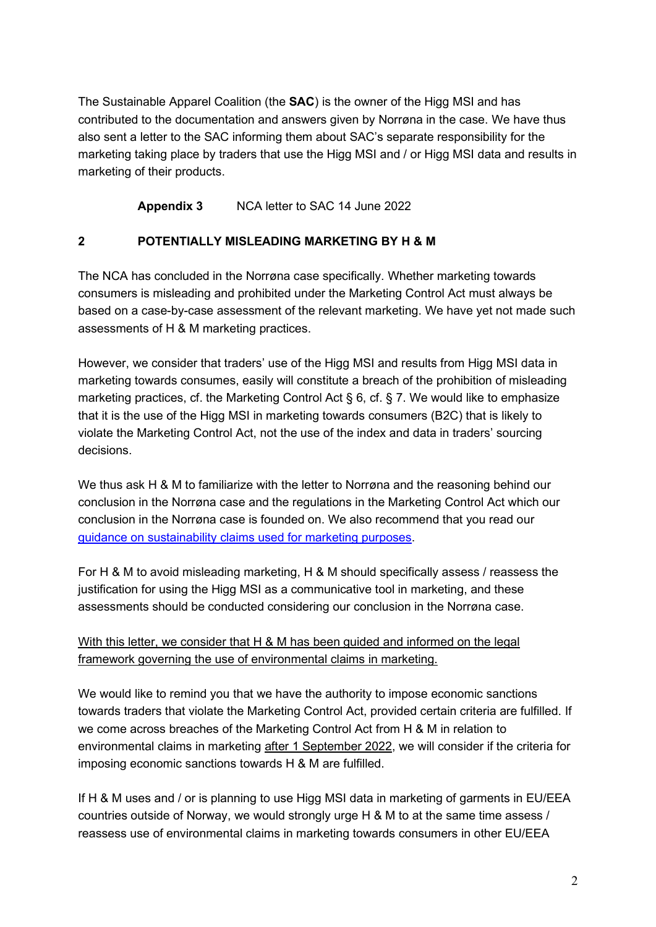The Sustainable Apparel Coalition (the **SAC**) is the owner of the Higg MSI and has contributed to the documentation and answers given by Norrøna in the case. We have thus also sent a letter to the SAC informing them about SAC's separate responsibility for the marketing taking place by traders that use the Higg MSI and / or Higg MSI data and results in marketing of their products.

**Appendix 3** NCA letter to SAC 14 June 2022

## **2 POTENTIALLY MISLEADING MARKETING BY H & M**

The NCA has concluded in the Norrøna case specifically. Whether marketing towards consumers is misleading and prohibited under the Marketing Control Act must always be based on a case-by-case assessment of the relevant marketing. We have yet not made such assessments of H & M marketing practices.

However, we consider that traders' use of the Higg MSI and results from Higg MSI data in marketing towards consumes, easily will constitute a breach of the prohibition of misleading marketing practices, cf. the Marketing Control Act  $\S 6$ , cf.  $\S 7$ . We would like to emphasize that it is the use of the Higg MSI in marketing towards consumers (B2C) that is likely to violate the Marketing Control Act, not the use of the index and data in traders' sourcing decisions.

We thus ask H & M to familiarize with the letter to Norrøna and the reasoning behind our conclusion in the Norrøna case and the regulations in the Marketing Control Act which our conclusion in the Norrøna case is founded on. We also recommend that you read our [guidance on sustainability claims used for marketing purposes.](https://www.forbrukertilsynet.no/english/guidelines/the-consumer-authoritys-guidance-on-sustainability-claims-used-for-marketing-purposes)

For H & M to avoid misleading marketing, H & M should specifically assess / reassess the justification for using the Higg MSI as a communicative tool in marketing, and these assessments should be conducted considering our conclusion in the Norrøna case.

## With this letter, we consider that H & M has been guided and informed on the legal framework governing the use of environmental claims in marketing.

We would like to remind you that we have the authority to impose economic sanctions towards traders that violate the Marketing Control Act, provided certain criteria are fulfilled. If we come across breaches of the Marketing Control Act from H & M in relation to environmental claims in marketing after 1 September 2022, we will consider if the criteria for imposing economic sanctions towards H & M are fulfilled.

If H & M uses and / or is planning to use Higg MSI data in marketing of garments in EU/EEA countries outside of Norway, we would strongly urge H & M to at the same time assess / reassess use of environmental claims in marketing towards consumers in other EU/EEA